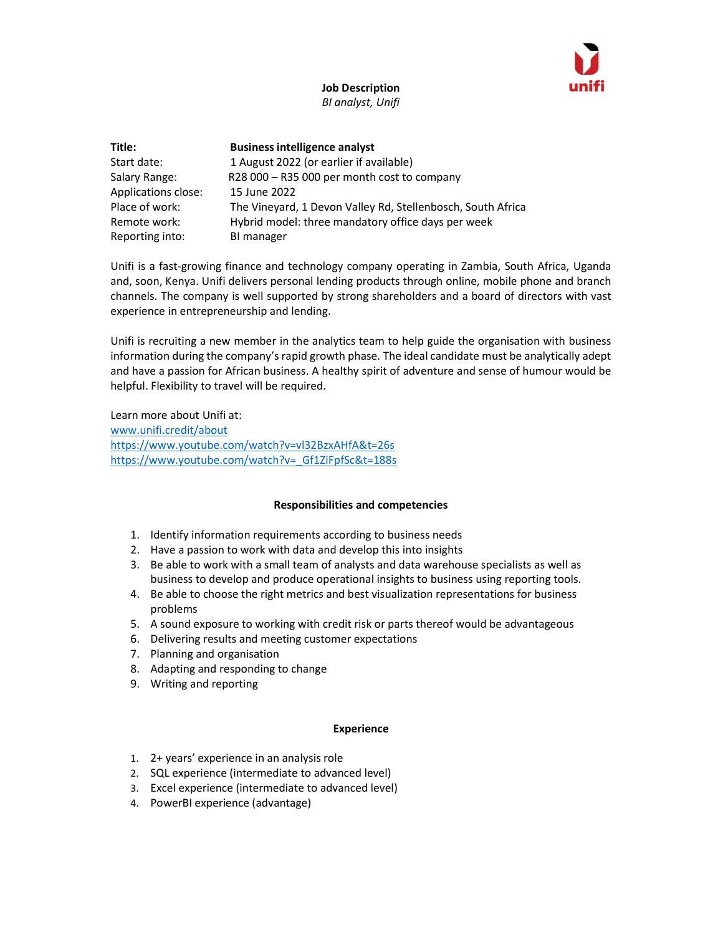

Job Description BI analyst, Unifi

| Title:              | <b>Business intelligence analyst</b>                        |
|---------------------|-------------------------------------------------------------|
| Start date:         | 1 August 2022 (or earlier if available)                     |
| Salary Range:       | R28 000 - R35 000 per month cost to company                 |
| Applications close: | 15 June 2022                                                |
| Place of work:      | The Vineyard, 1 Devon Valley Rd, Stellenbosch, South Africa |
| Remote work:        | Hybrid model: three mandatory office days per week          |
| Reporting into:     | BI manager                                                  |

Unifi is a fast-growing finance and technology company operating in Zambia, South Africa, Uganda and, soon, Kenya. Unifi delivers personal lending products through online, mobile phone and branch channels. The company is well supported by strong shareholders and a board of directors with vast experience in entrepreneurship and lending.

Unifi is recruiting a new member in the analytics team to help guide the organisation with business information during the company's rapid growth phase. The ideal candidate must be analytically adept and have a passion for African business. A healthy spirit of adventure and sense of humour would be helpful. Flexibility to travel will be required.

Learn more about Unifi at: www.unifi.credit/about https://www.youtube.com/watch?v=vl32BzxAHfA&t=26s https://www.youtube.com/watch?v= Gf1ZiFpfSc&t=188s

## Responsibilities and competencies

- 1. Identify information requirements according to business needs
- 2. Have a passion to work with data and develop this into insights
- 3. Be able to work with a small team of analysts and data warehouse specialists as well as business to develop and produce operational insights to business using reporting tools.
- 4. Be able to choose the right metrics and best visualization representations for business problems
- 5. A sound exposure to working with credit risk or parts thereof would be advantageous
- 6. Delivering results and meeting customer expectations
- 7. Planning and organisation
- 8. Adapting and responding to change
- 9. Writing and reporting

## Experience

- 1. 2+ years' experience in an analysis role
- 2. SQL experience (intermediate to advanced level)
- 3. Excel experience (intermediate to advanced level)
- 4. PowerBI experience (advantage)